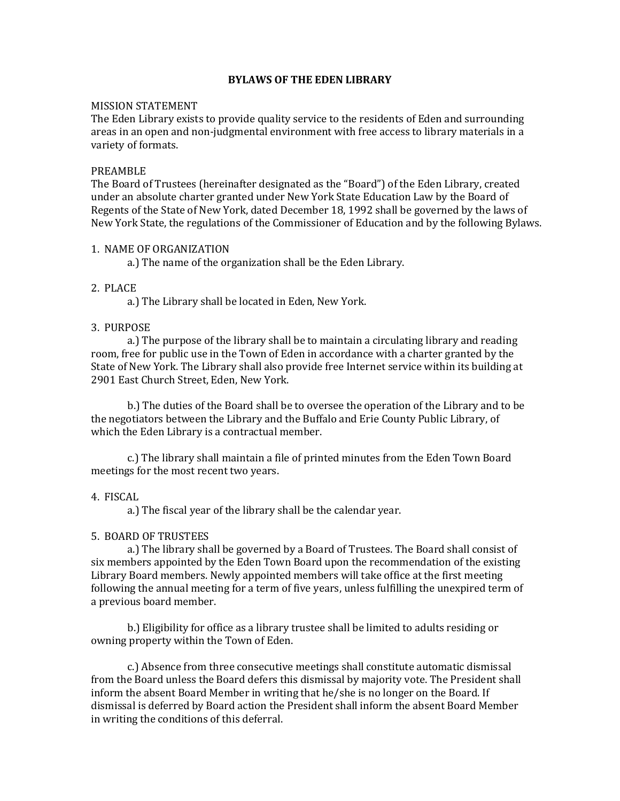## **BYLAWS OF THE EDEN LIBRARY**

## MISSION STATEMENT

The Eden Library exists to provide quality service to the residents of Eden and surrounding areas in an open and non-judgmental environment with free access to library materials in a variety of formats.

#### PREAMBLE

The Board of Trustees (hereinafter designated as the "Board") of the Eden Library, created under an absolute charter granted under New York State Education Law by the Board of Regents of the State of New York, dated December 18, 1992 shall be governed by the laws of New York State, the regulations of the Commissioner of Education and by the following Bylaws.

## 1. NAME OF ORGANIZATION

a.) The name of the organization shall be the Eden Library.

## 2. PLACE

a.) The Library shall be located in Eden, New York.

## 3. PURPOSE

a.) The purpose of the library shall be to maintain a circulating library and reading room, free for public use in the Town of Eden in accordance with a charter granted by the State of New York. The Library shall also provide free Internet service within its building at 2901 East Church Street, Eden, New York.

b.) The duties of the Board shall be to oversee the operation of the Library and to be the negotiators between the Library and the Buffalo and Erie County Public Library, of which the Eden Library is a contractual member.

c.) The library shall maintain a file of printed minutes from the Eden Town Board meetings for the most recent two years.

#### 4. FISCAL

a.) The fiscal year of the library shall be the calendar year.

## 5. BOARD OF TRUSTEES

a.) The library shall be governed by a Board of Trustees. The Board shall consist of six members appointed by the Eden Town Board upon the recommendation of the existing Library Board members. Newly appointed members will take office at the first meeting following the annual meeting for a term of five years, unless fulfilling the unexpired term of a previous board member.

b.) Eligibility for office as a library trustee shall be limited to adults residing or owning property within the Town of Eden.

c.) Absence from three consecutive meetings shall constitute automatic dismissal from the Board unless the Board defers this dismissal by majority vote. The President shall inform the absent Board Member in writing that he/she is no longer on the Board. If dismissal is deferred by Board action the President shall inform the absent Board Member in writing the conditions of this deferral.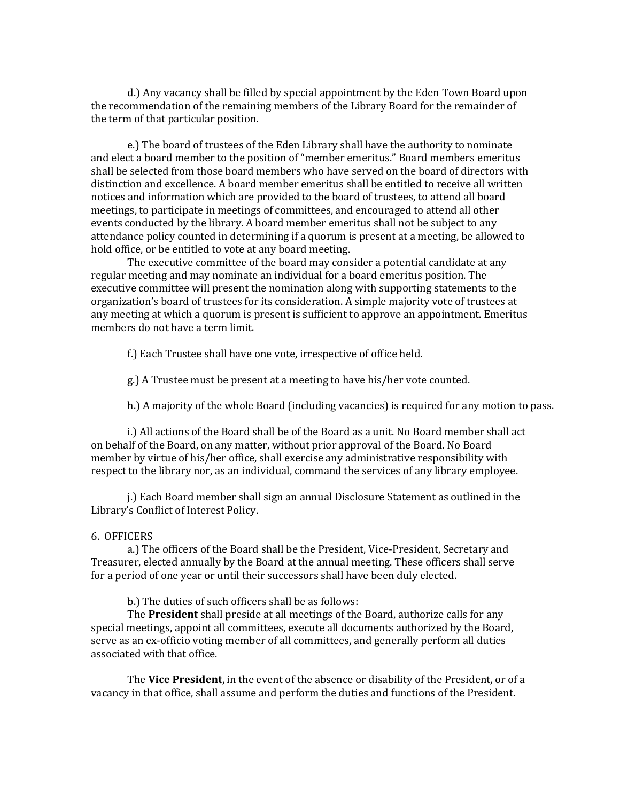d.) Any vacancy shall be filled by special appointment by the Eden Town Board upon the recommendation of the remaining members of the Library Board for the remainder of the term of that particular position.

e.) The board of trustees of the Eden Library shall have the authority to nominate and elect a board member to the position of "member emeritus." Board members emeritus shall be selected from those board members who have served on the board of directors with distinction and excellence. A board member emeritus shall be entitled to receive all written notices and information which are provided to the board of trustees, to attend all board meetings, to participate in meetings of committees, and encouraged to attend all other events conducted by the library. A board member emeritus shall not be subject to any attendance policy counted in determining if a quorum is present at a meeting, be allowed to hold office, or be entitled to vote at any board meeting.

The executive committee of the board may consider a potential candidate at any regular meeting and may nominate an individual for a board emeritus position. The executive committee will present the nomination along with supporting statements to the organization's board of trustees for its consideration. A simple majority vote of trustees at any meeting at which a quorum is present is sufficient to approve an appointment. Emeritus members do not have a term limit.

f.) Each Trustee shall have one vote, irrespective of office held.

g.) A Trustee must be present at a meeting to have his/her vote counted.

h.) A majority of the whole Board (including vacancies) is required for any motion to pass.

i.) All actions of the Board shall be of the Board as a unit. No Board member shall act on behalf of the Board, on any matter, without prior approval of the Board. No Board member by virtue of his/her office, shall exercise any administrative responsibility with respect to the library nor, as an individual, command the services of any library employee.

j.) Each Board member shall sign an annual Disclosure Statement as outlined in the Library's Conflict of Interest Policy.

## 6. OFFICERS

a.) The officers of the Board shall be the President, Vice-President, Secretary and Treasurer, elected annually by the Board at the annual meeting. These officers shall serve for a period of one year or until their successors shall have been duly elected.

b.) The duties of such officers shall be as follows:

The **President** shall preside at all meetings of the Board, authorize calls for any special meetings, appoint all committees, execute all documents authorized by the Board, serve as an ex-officio voting member of all committees, and generally perform all duties associated with that office.

The **Vice President**, in the event of the absence or disability of the President, or of a vacancy in that office, shall assume and perform the duties and functions of the President.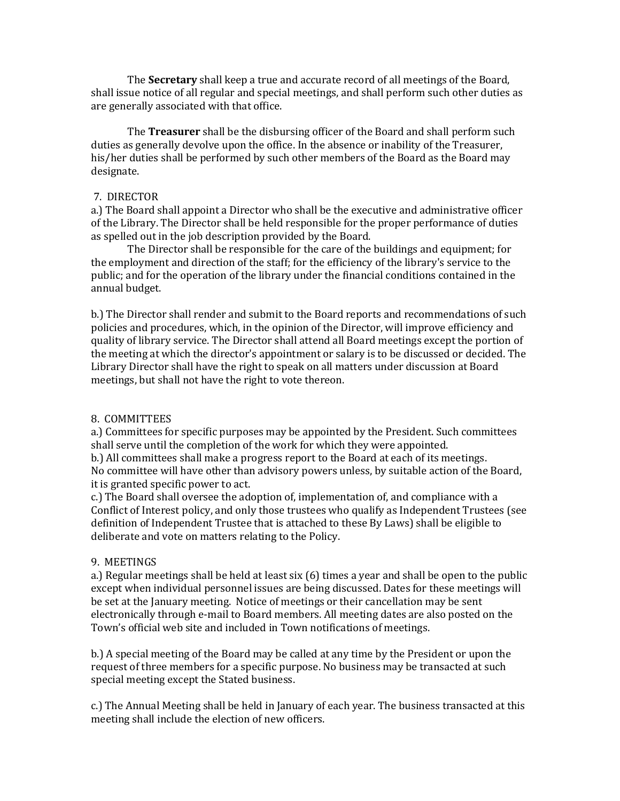The **Secretary** shall keep a true and accurate record of all meetings of the Board, shall issue notice of all regular and special meetings, and shall perform such other duties as are generally associated with that office.

The **Treasurer** shall be the disbursing officer of the Board and shall perform such duties as generally devolve upon the office. In the absence or inability of the Treasurer, his/her duties shall be performed by such other members of the Board as the Board may designate.

## 7. DIRECTOR

a.) The Board shall appoint a Director who shall be the executive and administrative officer of the Library. The Director shall be held responsible for the proper performance of duties as spelled out in the job description provided by the Board.

The Director shall be responsible for the care of the buildings and equipment; for the employment and direction of the staff; for the efficiency of the library's service to the public; and for the operation of the library under the financial conditions contained in the annual budget.

b.) The Director shall render and submit to the Board reports and recommendations of such policies and procedures, which, in the opinion of the Director, will improve efficiency and quality of library service. The Director shall attend all Board meetings except the portion of the meeting at which the director's appointment or salary is to be discussed or decided. The Library Director shall have the right to speak on all matters under discussion at Board meetings, but shall not have the right to vote thereon.

# 8. COMMITTEES

a.) Committees for specific purposes may be appointed by the President. Such committees shall serve until the completion of the work for which they were appointed.

b.) All committees shall make a progress report to the Board at each of its meetings. No committee will have other than advisory powers unless, by suitable action of the Board, it is granted specific power to act.

c.) The Board shall oversee the adoption of, implementation of, and compliance with a Conflict of Interest policy, and only those trustees who qualify as Independent Trustees (see definition of Independent Trustee that is attached to these By Laws) shall be eligible to deliberate and vote on matters relating to the Policy.

## 9. MEETINGS

a.) Regular meetings shall be held at least six (6) times a year and shall be open to the public except when individual personnel issues are being discussed. Dates for these meetings will be set at the January meeting. Notice of meetings or their cancellation may be sent electronically through e-mail to Board members. All meeting dates are also posted on the Town's official web site and included in Town notifications of meetings.

b.) A special meeting of the Board may be called at any time by the President or upon the request of three members for a specific purpose. No business may be transacted at such special meeting except the Stated business.

c.) The Annual Meeting shall be held in January of each year. The business transacted at this meeting shall include the election of new officers.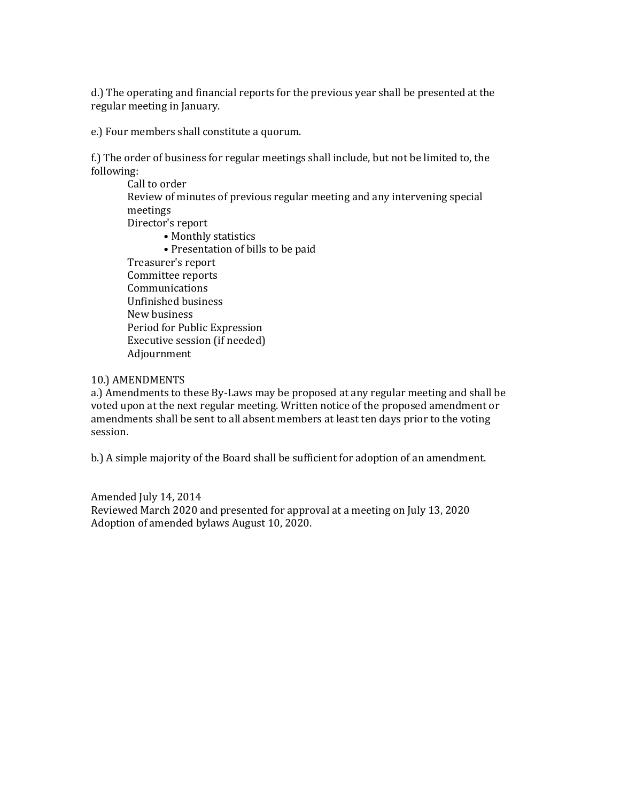d.) The operating and financial reports for the previous year shall be presented at the regular meeting in January.

e.) Four members shall constitute a quorum.

f.) The order of business for regular meetings shall include, but not be limited to, the following:

Call to order Review of minutes of previous regular meeting and any intervening special meetings Director's report • Monthly statistics

• Presentation of bills to be paid

Treasurer's report Committee reports Communications Unfinished business New business Period for Public Expression Executive session (if needed) Adjournment

# 10.) AMENDMENTS

a.) Amendments to these By-Laws may be proposed at any regular meeting and shall be voted upon at the next regular meeting. Written notice of the proposed amendment or amendments shall be sent to all absent members at least ten days prior to the voting session.

b.) A simple majority of the Board shall be sufficient for adoption of an amendment.

Amended July 14, 2014 Reviewed March 2020 and presented for approval at a meeting on July 13, 2020 Adoption of amended bylaws August 10, 2020.